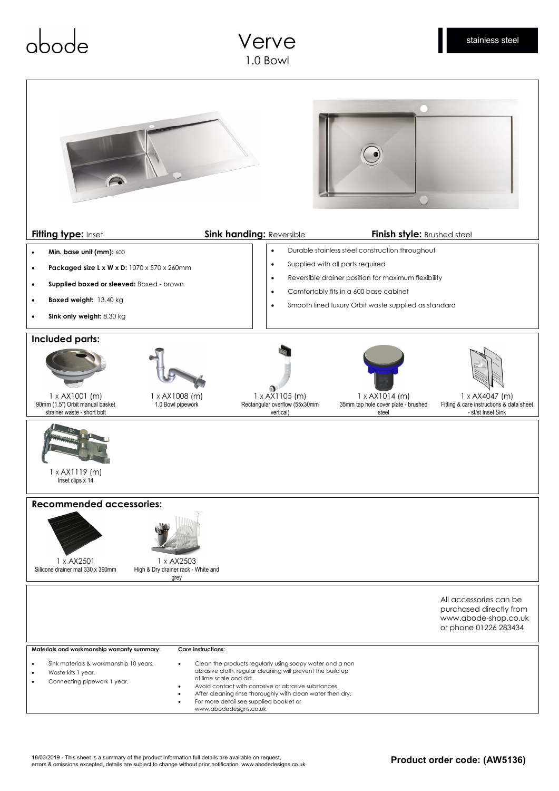